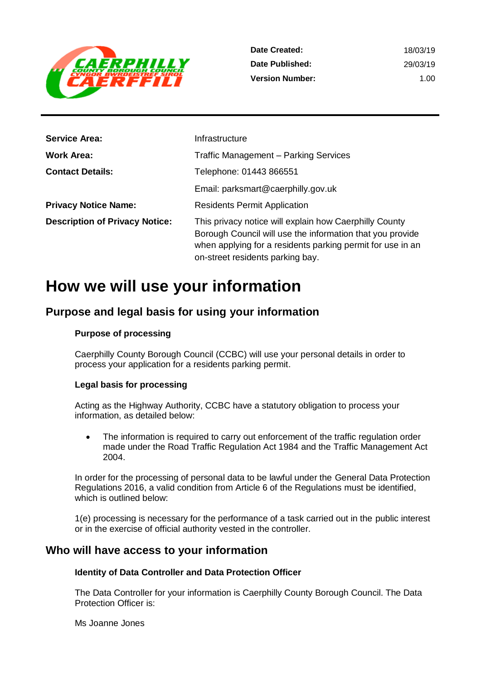

| <b>Service Area:</b>                  | Infrastructure                                                                                                                                                                                                        |
|---------------------------------------|-----------------------------------------------------------------------------------------------------------------------------------------------------------------------------------------------------------------------|
| <b>Work Area:</b>                     | <b>Traffic Management - Parking Services</b>                                                                                                                                                                          |
| <b>Contact Details:</b>               | Telephone: 01443 866551                                                                                                                                                                                               |
|                                       | Email: parksmart@caerphilly.gov.uk                                                                                                                                                                                    |
| <b>Privacy Notice Name:</b>           | <b>Residents Permit Application</b>                                                                                                                                                                                   |
| <b>Description of Privacy Notice:</b> | This privacy notice will explain how Caerphilly County<br>Borough Council will use the information that you provide<br>when applying for a residents parking permit for use in an<br>on-street residents parking bay. |

# **How we will use your information**

## **Purpose and legal basis for using your information**

#### **Purpose of processing**

Caerphilly County Borough Council (CCBC) will use your personal details in order to process your application for a residents parking permit.

#### **Legal basis for processing**

Acting as the Highway Authority, CCBC have a statutory obligation to process your information, as detailed below:

• The information is required to carry out enforcement of the traffic regulation order made under the Road Traffic Regulation Act 1984 and the Traffic Management Act 2004.

In order for the processing of personal data to be lawful under the General Data Protection Regulations 2016, a valid condition from Article 6 of the Regulations must be identified, which is outlined below:

1(e) processing is necessary for the performance of a task carried out in the public interest or in the exercise of official authority vested in the controller.

### **Who will have access to your information**

#### **Identity of Data Controller and Data Protection Officer**

The Data Controller for your information is Caerphilly County Borough Council. The Data Protection Officer is:

Ms Joanne Jones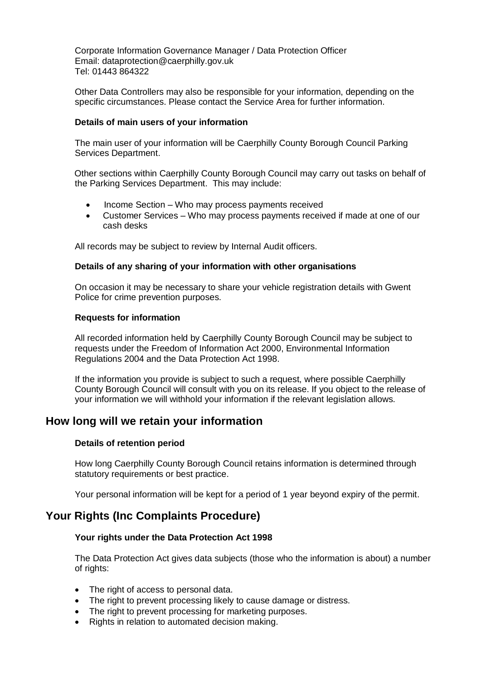Corporate Information Governance Manager / Data Protection Officer Email: dataprotection@caerphilly.gov.uk Tel: 01443 864322

Other Data Controllers may also be responsible for your information, depending on the specific circumstances. Please contact the Service Area for further information.

#### **Details of main users of your information**

The main user of your information will be Caerphilly County Borough Council Parking Services Department.

Other sections within Caerphilly County Borough Council may carry out tasks on behalf of the Parking Services Department. This may include:

- Income Section Who may process payments received
- Customer Services Who may process payments received if made at one of our cash desks

All records may be subject to review by Internal Audit officers.

#### **Details of any sharing of your information with other organisations**

On occasion it may be necessary to share your vehicle registration details with Gwent Police for crime prevention purposes.

#### **Requests for information**

All recorded information held by Caerphilly County Borough Council may be subject to requests under the Freedom of Information Act 2000, Environmental Information Regulations 2004 and the Data Protection Act 1998.

If the information you provide is subject to such a request, where possible Caerphilly County Borough Council will consult with you on its release. If you object to the release of your information we will withhold your information if the relevant legislation allows.

## **How long will we retain your information**

#### **Details of retention period**

How long Caerphilly County Borough Council retains information is determined through statutory requirements or best practice.

Your personal information will be kept for a period of 1 year beyond expiry of the permit.

## **Your Rights (Inc Complaints Procedure)**

#### **Your rights under the Data Protection Act 1998**

The Data Protection Act gives data subjects (those who the information is about) a number of rights:

- The right of access to personal data.
- The right to prevent processing likely to cause damage or distress.
- The right to prevent processing for marketing purposes.
- Rights in relation to automated decision making.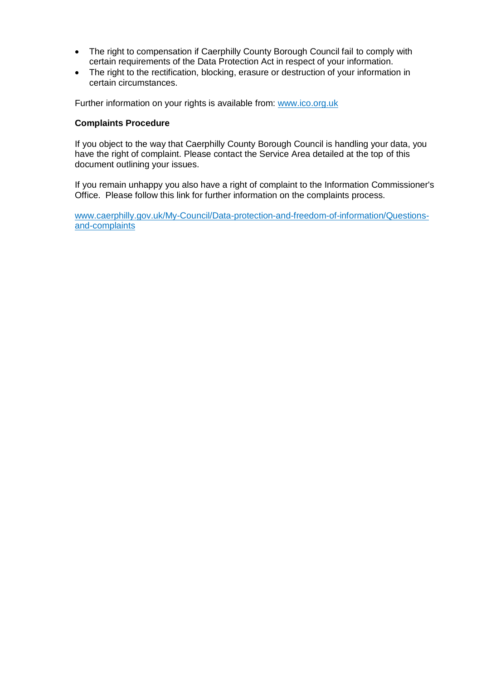- The right to compensation if Caerphilly County Borough Council fail to comply with certain requirements of the Data Protection Act in respect of your information.
- The right to the rectification, blocking, erasure or destruction of your information in certain circumstances.

Further information on your rights is available from: [www.ico.org.uk](http://www.ico.org.uk/)

#### **Complaints Procedure**

If you object to the way that Caerphilly County Borough Council is handling your data, you have the right of complaint. Please contact the Service Area detailed at the top of this document outlining your issues.

If you remain unhappy you also have a right of complaint to the Information Commissioner's Office. Please follow this link for further information on the complaints process.

[www.caerphilly.gov.uk/My-Council/Data-protection-and-freedom-of-information/Questions](http://www.caerphilly.gov.uk/My-Council/Data-protection-and-freedom-of-information/Questions-and-complaints)[and-complaints](http://www.caerphilly.gov.uk/My-Council/Data-protection-and-freedom-of-information/Questions-and-complaints)